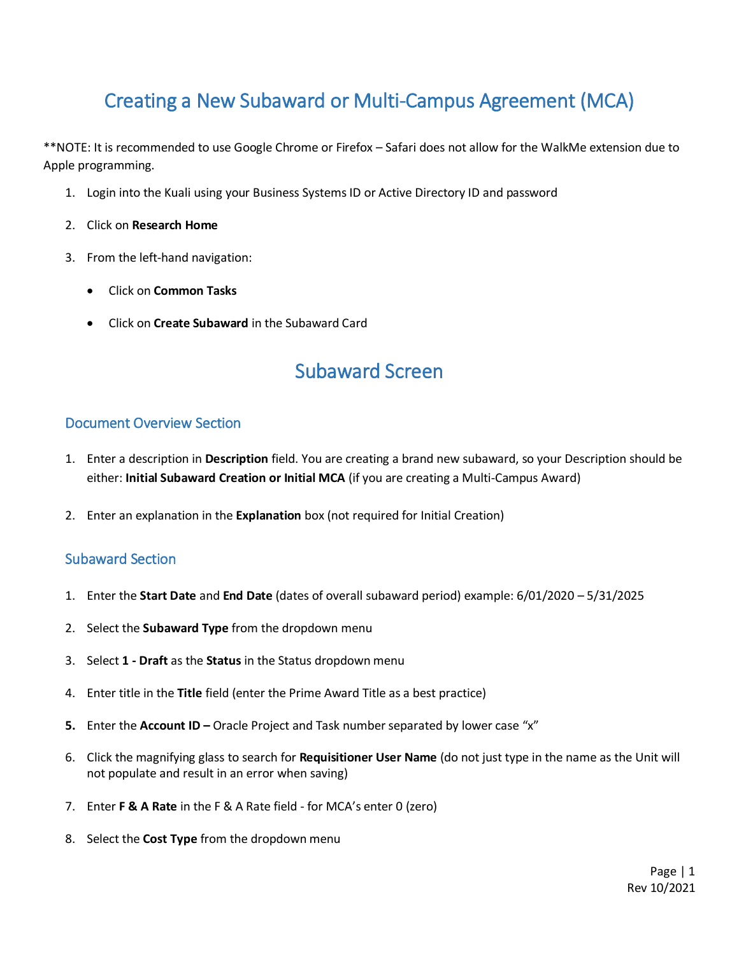# Creating a New Subaward or Multi-Campus Agreement (MCA)

\*\*NOTE: It is recommended to use Google Chrome or Firefox – Safari does not allow for the WalkMe extension due to Apple programming.

- 1. Login into the Kuali using your Business Systems ID or Active Directory ID and password
- 2. Click on **Research Home**
- 3. From the left-hand navigation:
	- Click on **Common Tasks**
	- Click on **Create Subaward** in the Subaward Card

## Subaward Screen

### Document Overview Section

- 1. Enter a description in **Description** field. You are creating a brand new subaward, so your Description should be either: **Initial Subaward Creation or Initial MCA** (if you are creating a Multi-Campus Award)
- 2. Enter an explanation in the **Explanation** box (not required for Initial Creation)

### Subaward Section

- 1. Enter the **Start Date** and **End Date** (dates of overall subaward period) example: 6/01/2020 5/31/2025
- 2. Select the **Subaward Type** from the dropdown menu
- 3. Select **1 - Draft** as the **Status** in the Status dropdown menu
- 4. Enter title in the **Title** field (enter the Prime Award Title as a best practice)
- **5.** Enter the **Account ID –** Oracle Project and Task number separated by lower case "x"
- 6. Click the magnifying glass to search for **Requisitioner User Name** (do not just type in the name as the Unit will not populate and result in an error when saving)
- 7. Enter **F & A Rate** in the F & A Rate field for MCA's enter 0 (zero)
- 8. Select the **Cost Type** from the dropdown menu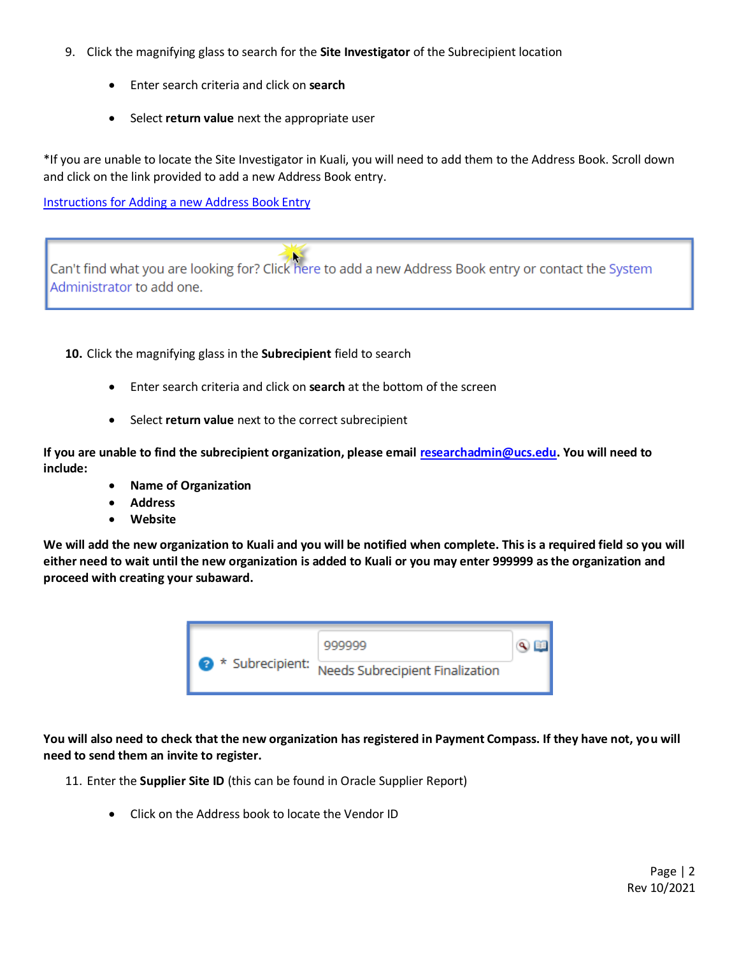- 9. Click the magnifying glass to search for the **Site Investigator** of the Subrecipient location
	- Enter search criteria and click on **search**
	- Select **return value** next the appropriate user

\*If you are unable to locate the Site Investigator in Kuali, you will need to add them to the Address Book. Scroll down and click on the link provided to add a new Address Book entry.

[Instructions for Adding a new Address Book Entry](https://support.ucsd.edu/research?id=kb_article_view&sysparm_article=KB0032553&sys_kb_id=beea0b07db93dc50a4bc41db139619aa)



**10.** Click the magnifying glass in the **Subrecipient** field to search

- Enter search criteria and click on **search** at the bottom of the screen
- Select **return value** next to the correct subrecipient

**If you are unable to find the subrecipient organization, please emai[l researchadmin@ucs.edu.](mailto:researchadmin@ucs.edu) You will need to include:**

- **Name of Organization**
- **Address**
- **Website**

**We will add the new organization to Kuali and you will be notified when complete. This is a required field so you will either need to wait until the new organization is added to Kuali or you may enter 999999 as the organization and proceed with creating your subaward.** 



**You will also need to check that the new organization has registered in Payment Compass. If they have not, you will need to send them an invite to register.**

- 11. Enter the **Supplier Site ID** (this can be found in Oracle Supplier Report)
	- Click on the Address book to locate the Vendor ID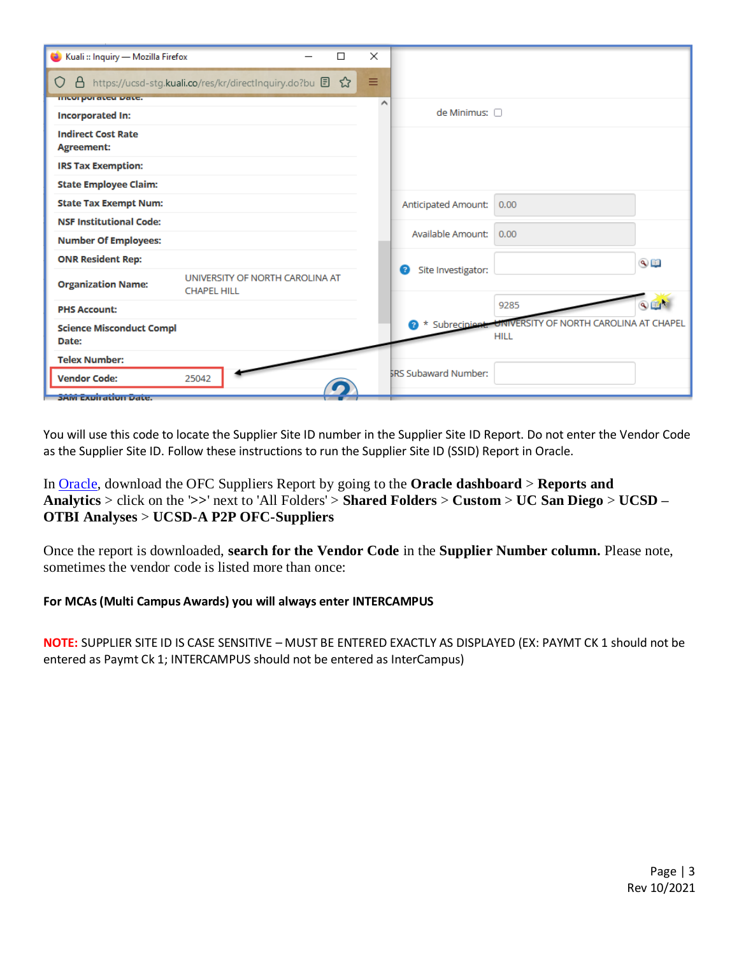| Kuali :: Inquiry — Mozilla Firefox<br>Π                                            | $\times$                    |                                                                            |
|------------------------------------------------------------------------------------|-----------------------------|----------------------------------------------------------------------------|
| https://ucsd-stg.kuali.co/res/kr/directInquiry.do?bu 日 ☆<br>8<br>O                 | Ξ                           |                                                                            |
| <b>ITION POTATOE DATE:</b>                                                         | ́                           |                                                                            |
| <b>Incorporated In:</b>                                                            |                             | de Minimus: n                                                              |
| <b>Indirect Cost Rate</b><br><b>Agreement:</b>                                     |                             |                                                                            |
| <b>IRS Tax Exemption:</b>                                                          |                             |                                                                            |
| <b>State Employee Claim:</b>                                                       |                             |                                                                            |
| <b>State Tax Exempt Num:</b>                                                       |                             | Anticipated Amount:<br>0.00                                                |
| <b>NSF Institutional Code:</b>                                                     |                             |                                                                            |
| <b>Number Of Employees:</b>                                                        |                             | Available Amount:<br>0.00                                                  |
| <b>ONR Resident Rep:</b>                                                           |                             | $\overline{\mathbb{Q}}$<br>Site Investigator:<br>2                         |
| UNIVERSITY OF NORTH CAROLINA AT<br><b>Organization Name:</b><br><b>CHAPEL HILL</b> |                             |                                                                            |
| <b>PHS Account:</b>                                                                |                             | $Q_{\rm eff}$<br>9285                                                      |
| <b>Science Misconduct Compl</b><br>Date:                                           |                             | * Subrecipient: UNIVERSITY OF NORTH CAROLINA AT CHAPEL<br>2<br><b>HILL</b> |
| <b>Telex Number:</b>                                                               |                             |                                                                            |
| <b>Vendor Code:</b><br>25042                                                       | <b>SRS Subaward Number:</b> |                                                                            |
| <b>SAIVE EXPIT QUOIT Date.</b>                                                     |                             |                                                                            |

You will use this code to locate the Supplier Site ID number in the Supplier Site ID Report. Do not enter the Vendor Code as the Supplier Site ID. Follow these instructions to run the Supplier Site ID (SSID) Report in Oracle.

In [Oracle,](https://ofc.ucsd.edu/) download the OFC Suppliers Report by going to the **Oracle dashboard** > **Reports and Analytics** > click on the '**>>**' next to 'All Folders' > **Shared Folders** > **Custom** > **UC San Diego** > **UCSD – OTBI Analyses** > **UCSD-A P2P OFC-Suppliers**

Once the report is downloaded, **search for the Vendor Code** in the **Supplier Number column.** Please note, sometimes the vendor code is listed more than once:

#### **For MCAs (Multi Campus Awards) you will always enter INTERCAMPUS**

**NOTE:** SUPPLIER SITE ID IS CASE SENSITIVE – MUST BE ENTERED EXACTLY AS DISPLAYED (EX: PAYMT CK 1 should not be entered as Paymt Ck 1; INTERCAMPUS should not be entered as InterCampus)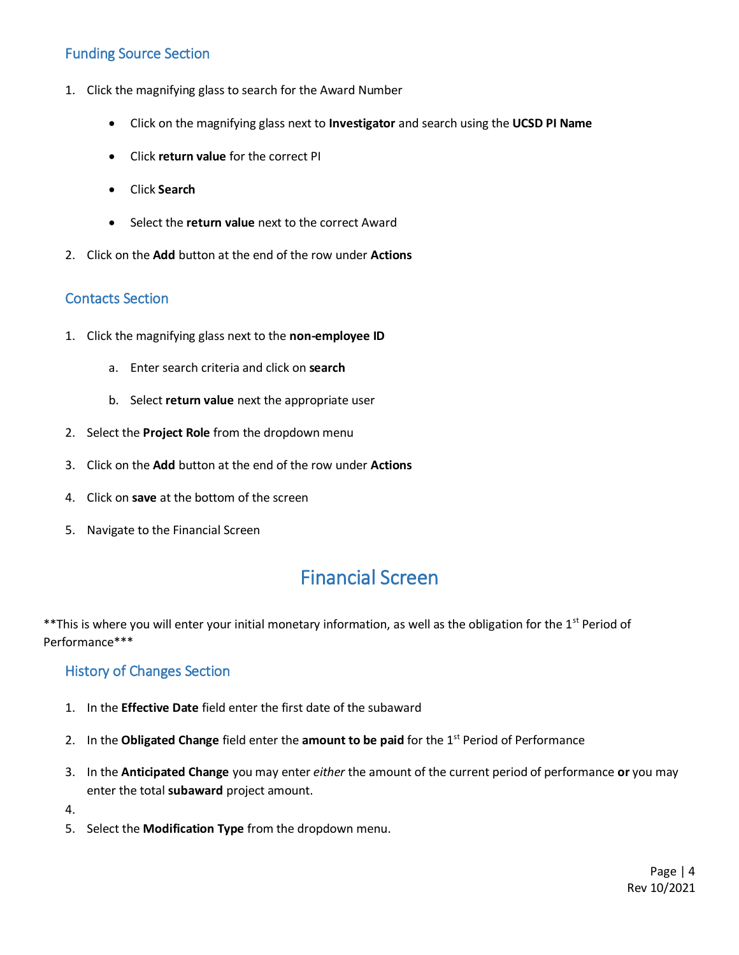### Funding Source Section

- 1. Click the magnifying glass to search for the Award Number
	- Click on the magnifying glass next to **Investigator** and search using the **UCSD PI Name**
	- Click **return value** for the correct PI
	- Click **Search**
	- Select the **return value** next to the correct Award
- 2. Click on the **Add** button at the end of the row under **Actions**

### Contacts Section

- 1. Click the magnifying glass next to the **non-employee ID** 
	- a. Enter search criteria and click on **search**
	- b. Select **return value** next the appropriate user
- 2. Select the **Project Role** from the dropdown menu
- 3. Click on the **Add** button at the end of the row under **Actions**
- 4. Click on **save** at the bottom of the screen
- 5. Navigate to the Financial Screen

## Financial Screen

\*\*This is where you will enter your initial monetary information, as well as the obligation for the 1<sup>st</sup> Period of Performance\*\*\*

### History of Changes Section

- 1. In the **Effective Date** field enter the first date of the subaward
- 2. In the Obligated Change field enter the amount to be paid for the 1<sup>st</sup> Period of Performance
- 3. In the **Anticipated Change** you may enter *either* the amount of the current period of performance **or** you may enter the total **subaward** project amount.
- 4.
- 5. Select the **Modification Type** from the dropdown menu.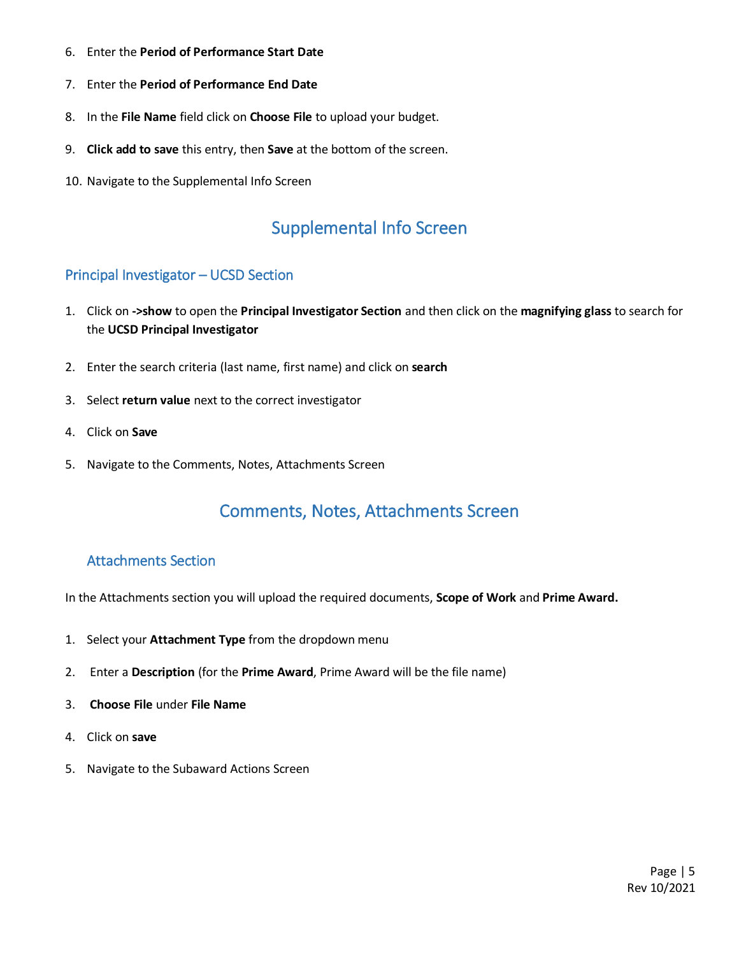- 6. Enter the **Period of Performance Start Date**
- 7. Enter the **Period of Performance End Date**
- 8. In the **File Name** field click on **Choose File** to upload your budget.
- 9. **Click add to save** this entry, then **Save** at the bottom of the screen.
- 10. Navigate to the Supplemental Info Screen

### Supplemental Info Screen

### Principal Investigator – UCSD Section

- 1. Click on **->show** to open the **Principal Investigator Section** and then click on the **magnifying glass** to search for the **UCSD Principal Investigator**
- 2. Enter the search criteria (last name, first name) and click on **search**
- 3. Select **return value** next to the correct investigator
- 4. Click on **Save**
- 5. Navigate to the Comments, Notes, Attachments Screen

### Comments, Notes, Attachments Screen

#### Attachments Section

In the Attachments section you will upload the required documents, **Scope of Work** and **Prime Award.**

- 1. Select your **Attachment Type** from the dropdown menu
- 2. Enter a **Description** (for the **Prime Award**, Prime Award will be the file name)
- 3. **Choose File** under **File Name**
- 4. Click on **save**
- 5. Navigate to the Subaward Actions Screen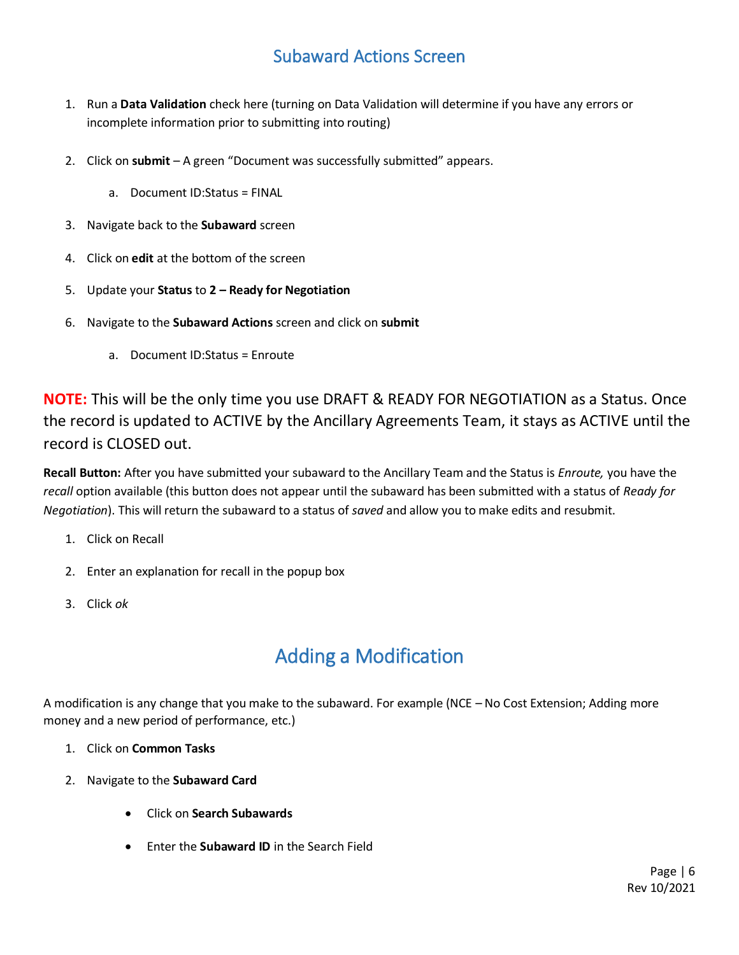## Subaward Actions Screen

- 1. Run a **Data Validation** check here (turning on Data Validation will determine if you have any errors or incomplete information prior to submitting into routing)
- 2. Click on **submit**  A green "Document was successfully submitted" appears.
	- a. Document ID:Status = FINAL
- 3. Navigate back to the **Subaward** screen
- 4. Click on **edit** at the bottom of the screen
- 5. Update your **Status** to **2 – Ready for Negotiation**
- 6. Navigate to the **Subaward Actions** screen and click on **submit**
	- a. Document ID:Status = Enroute

**NOTE:** This will be the only time you use DRAFT & READY FOR NEGOTIATION as a Status. Once the record is updated to ACTIVE by the Ancillary Agreements Team, it stays as ACTIVE until the record is CLOSED out.

**Recall Button:** After you have submitted your subaward to the Ancillary Team and the Status is *Enroute,* you have the *recall* option available (this button does not appear until the subaward has been submitted with a status of *Ready for Negotiation*). This will return the subaward to a status of *saved* and allow you to make edits and resubmit.

- 1. Click on Recall
- 2. Enter an explanation for recall in the popup box
- 3. Click *ok*

# Adding a Modification

A modification is any change that you make to the subaward. For example (NCE – No Cost Extension; Adding more money and a new period of performance, etc.)

- 1. Click on **Common Tasks**
- 2. Navigate to the **Subaward Card**
	- Click on **Search Subawards**
	- Enter the **Subaward ID** in the Search Field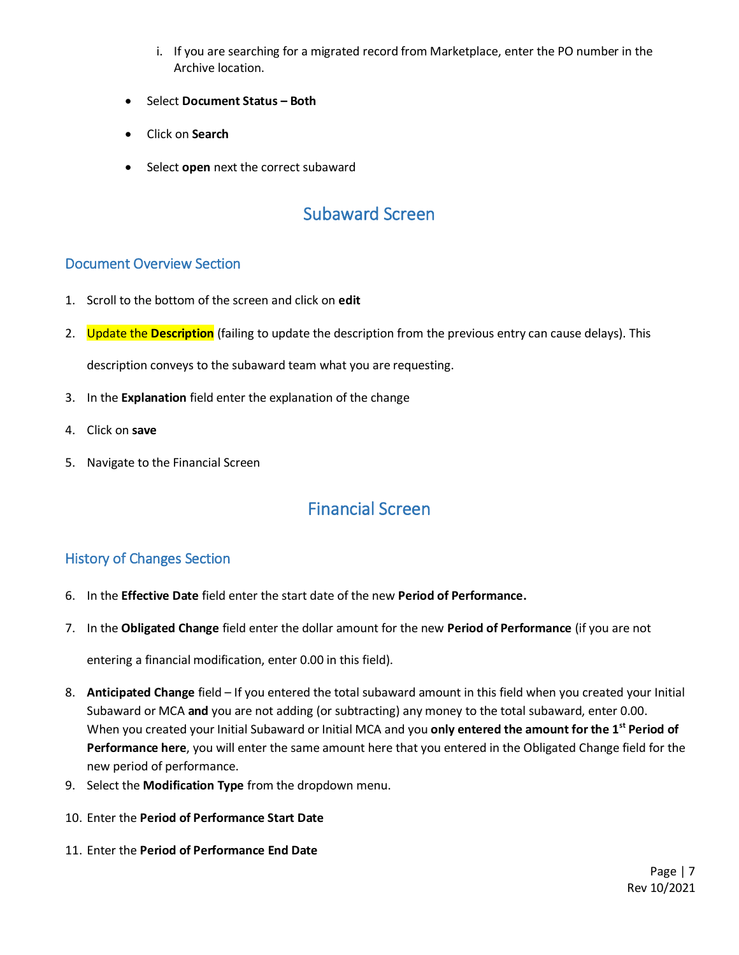- i. If you are searching for a migrated record from Marketplace, enter the PO number in the Archive location.
- Select **Document Status – Both**
- Click on **Search**
- Select **open** next the correct subaward

## Subaward Screen

### Document Overview Section

- 1. Scroll to the bottom of the screen and click on **edit**
- 2. Update the **Description** (failing to update the description from the previous entry can cause delays). This

description conveys to the subaward team what you are requesting.

- 3. In the **Explanation** field enter the explanation of the change
- 4. Click on **save**
- 5. Navigate to the Financial Screen

## Financial Screen

### History of Changes Section

- 6. In the **Effective Date** field enter the start date of the new **Period of Performance.**
- 7. In the **Obligated Change** field enter the dollar amount for the new **Period of Performance** (if you are not

entering a financial modification, enter 0.00 in this field).

- 8. **Anticipated Change** field If you entered the total subaward amount in this field when you created your Initial Subaward or MCA **and** you are not adding (or subtracting) any money to the total subaward, enter 0.00. When you created your Initial Subaward or Initial MCA and you **only entered the amount for the 1st Period of Performance here**, you will enter the same amount here that you entered in the Obligated Change field for the new period of performance.
- 9. Select the **Modification Type** from the dropdown menu.
- 10. Enter the **Period of Performance Start Date**
- 11. Enter the **Period of Performance End Date**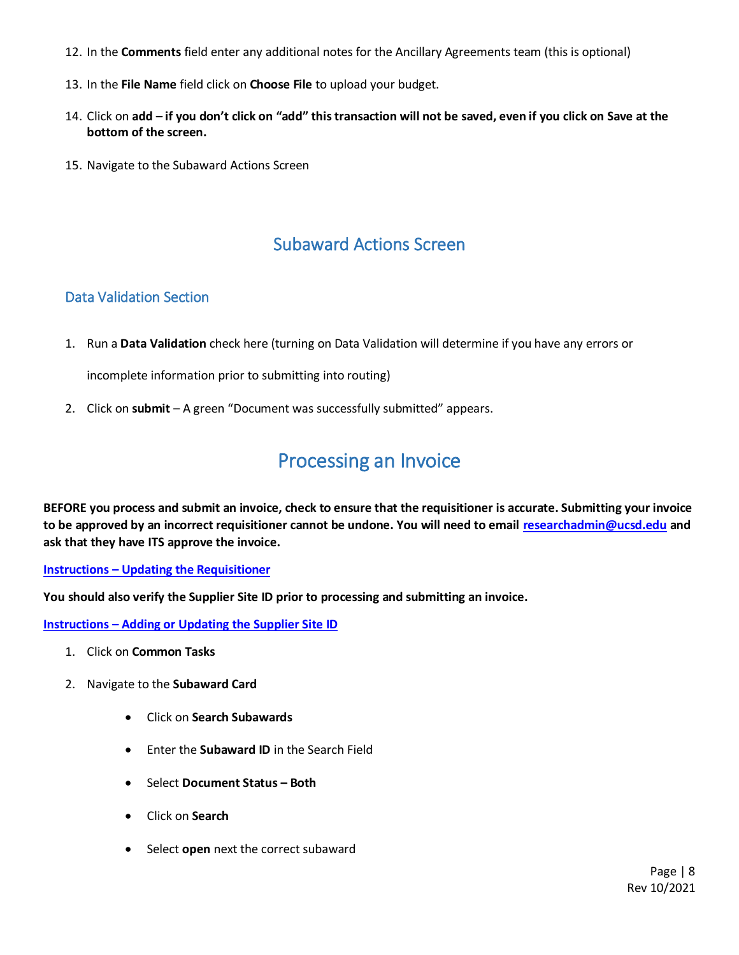- 12. In the **Comments** field enter any additional notes for the Ancillary Agreements team (this is optional)
- 13. In the **File Name** field click on **Choose File** to upload your budget.
- 14. Click on **add – if you don't click on "add" this transaction will not be saved, even if you click on Save at the bottom of the screen.**
- 15. Navigate to the Subaward Actions Screen

### Subaward Actions Screen

### Data Validation Section

1. Run a **Data Validation** check here (turning on Data Validation will determine if you have any errors or

incomplete information prior to submitting into routing)

2. Click on **submit** – A green "Document was successfully submitted" appears.

## Processing an Invoice

**BEFORE you process and submit an invoice, check to ensure that the requisitioner is accurate. Submitting your invoice to be approved by an incorrect requisitioner cannot be undone. You will need to email [researchadmin@ucsd.edu](mailto:researchadmin@ucsd.edu) and ask that they have ITS approve the invoice.**

#### **Instructions – [Updating the Requisitioner](https://support.ucsd.edu/research?id=kb_article_view&sysparm_article=KB0032243&sys_kb_id=9021de071bd66450df40ed7dee4bcbec)**

**You should also verify the Supplier Site ID prior to processing and submitting an invoice.**

**Instructions – [Adding or Updating the Supplier Site ID](https://support.ucsd.edu/research?id=kb_article_view&sysparm_article=KB0032524&sys_kb_id=0ea83f37db7fe010d4781c79139619af)**

- 1. Click on **Common Tasks**
- 2. Navigate to the **Subaward Card**
	- Click on **Search Subawards**
	- Enter the **Subaward ID** in the Search Field
	- Select **Document Status – Both**
	- Click on **Search**
	- Select **open** next the correct subaward